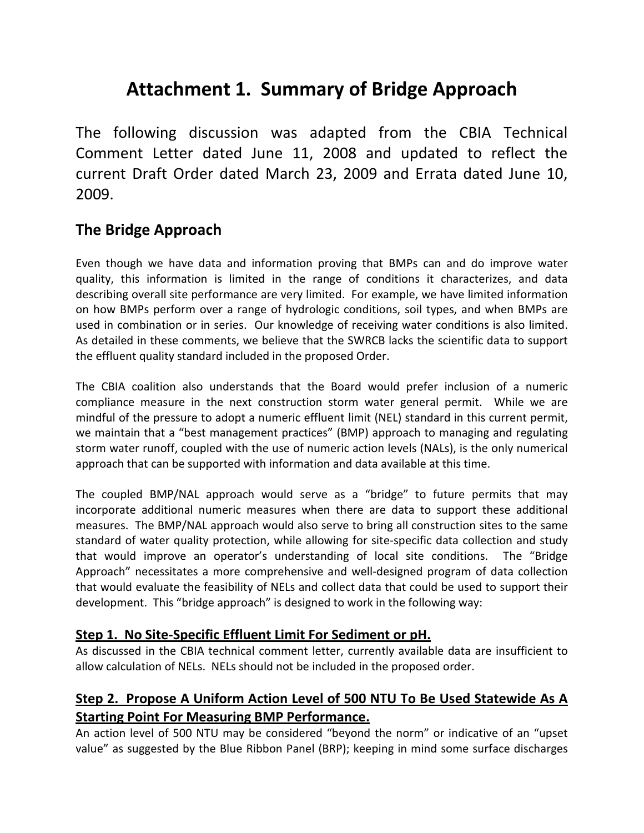# **Attachment 1. Summary of Bridge Approach**

The following discussion was adapted from the CBIA Technical Comment Letter dated June 11, 2008 and updated to reflect the current Draft Order dated March 23, 2009 and Errata dated June 10, 2009.

# **The Bridge Approach**

Even though we have data and information proving that BMPs can and do improve water quality, this information is limited in the range of conditions it characterizes, and data describing overall site performance are very limited. For example, we have limited information on how BMPs perform over a range of hydrologic conditions, soil types, and when BMPs are used in combination or in series. Our knowledge of receiving water conditions is also limited. As detailed in these comments, we believe that the SWRCB lacks the scientific data to support the effluent quality standard included in the proposed Order.

The CBIA coalition also understands that the Board would prefer inclusion of a numeric compliance measure in the next construction storm water general permit. While we are mindful of the pressure to adopt a numeric effluent limit (NEL) standard in this current permit, we maintain that a "best management practices" (BMP) approach to managing and regulating storm water runoff, coupled with the use of numeric action levels (NALs), is the only numerical approach that can be supported with information and data available at this time.

The coupled BMP/NAL approach would serve as a "bridge" to future permits that may incorporate additional numeric measures when there are data to support these additional measures. The BMP/NAL approach would also serve to bring all construction sites to the same standard of water quality protection, while allowing for site-specific data collection and study that would improve an operator's understanding of local site conditions. The "Bridge Approach" necessitates a more comprehensive and well-designed program of data collection that would evaluate the feasibility of NELs and collect data that could be used to support their development. This "bridge approach" is designed to work in the following way:

#### **Step 1. No Site-Specific Effluent Limit For Sediment or pH.**

As discussed in the CBIA technical comment letter, currently available data are insufficient to allow calculation of NELs. NELs should not be included in the proposed order.

## **Step 2. Propose A Uniform Action Level of 500 NTU To Be Used Statewide As A Starting Point For Measuring BMP Performance.**

An action level of 500 NTU may be considered "beyond the norm" or indicative of an "upset value" as suggested by the Blue Ribbon Panel (BRP); keeping in mind some surface discharges